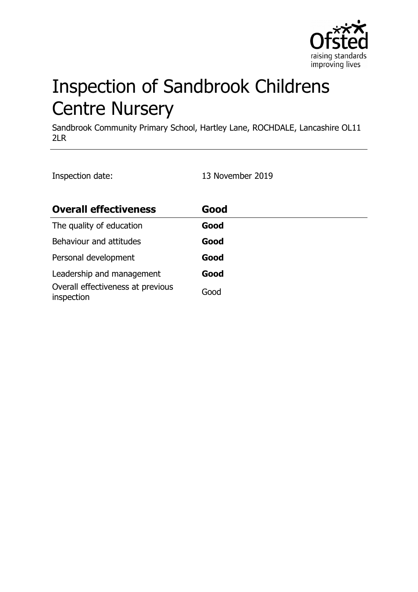

# Inspection of Sandbrook Childrens Centre Nursery

Sandbrook Community Primary School, Hartley Lane, ROCHDALE, Lancashire OL11 2LR

Inspection date: 13 November 2019

| <b>Overall effectiveness</b>                    | Good |
|-------------------------------------------------|------|
| The quality of education                        | Good |
| Behaviour and attitudes                         | Good |
| Personal development                            | Good |
| Leadership and management                       | Good |
| Overall effectiveness at previous<br>inspection | Good |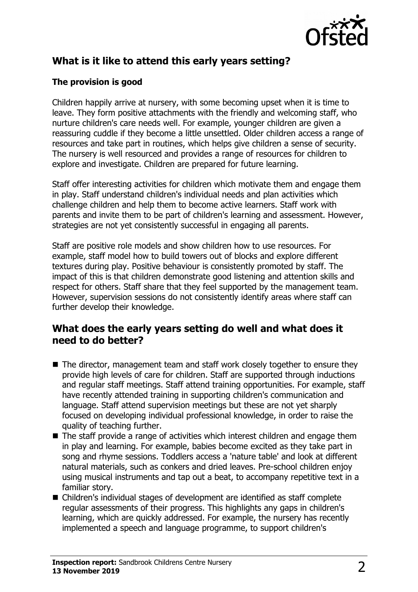

# **What is it like to attend this early years setting?**

## **The provision is good**

Children happily arrive at nursery, with some becoming upset when it is time to leave. They form positive attachments with the friendly and welcoming staff, who nurture children's care needs well. For example, younger children are given a reassuring cuddle if they become a little unsettled. Older children access a range of resources and take part in routines, which helps give children a sense of security. The nursery is well resourced and provides a range of resources for children to explore and investigate. Children are prepared for future learning.

Staff offer interesting activities for children which motivate them and engage them in play. Staff understand children's individual needs and plan activities which challenge children and help them to become active learners. Staff work with parents and invite them to be part of children's learning and assessment. However, strategies are not yet consistently successful in engaging all parents.

Staff are positive role models and show children how to use resources. For example, staff model how to build towers out of blocks and explore different textures during play. Positive behaviour is consistently promoted by staff. The impact of this is that children demonstrate good listening and attention skills and respect for others. Staff share that they feel supported by the management team. However, supervision sessions do not consistently identify areas where staff can further develop their knowledge.

## **What does the early years setting do well and what does it need to do better?**

- $\blacksquare$  The director, management team and staff work closely together to ensure they provide high levels of care for children. Staff are supported through inductions and regular staff meetings. Staff attend training opportunities. For example, staff have recently attended training in supporting children's communication and language. Staff attend supervision meetings but these are not yet sharply focused on developing individual professional knowledge, in order to raise the quality of teaching further.
- $\blacksquare$  The staff provide a range of activities which interest children and engage them in play and learning. For example, babies become excited as they take part in song and rhyme sessions. Toddlers access a 'nature table' and look at different natural materials, such as conkers and dried leaves. Pre-school children enjoy using musical instruments and tap out a beat, to accompany repetitive text in a familiar story.
- $\blacksquare$  Children's individual stages of development are identified as staff complete regular assessments of their progress. This highlights any gaps in children's learning, which are quickly addressed. For example, the nursery has recently implemented a speech and language programme, to support children's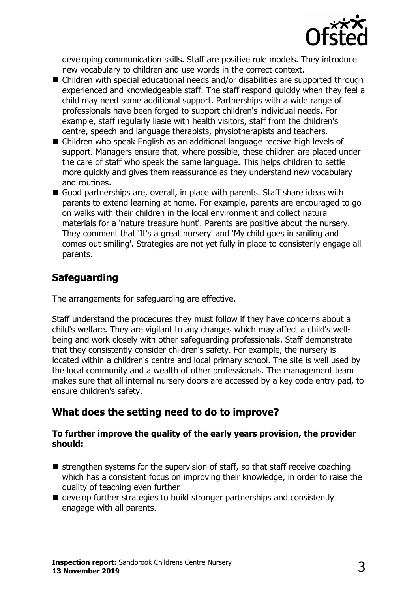

developing communication skills. Staff are positive role models. They introduce new vocabulary to children and use words in the correct context.

- $\blacksquare$  Children with special educational needs and/or disabilities are supported through experienced and knowledgeable staff. The staff respond quickly when they feel a child may need some additional support. Partnerships with a wide range of professionals have been forged to support children's individual needs. For example, staff regularly liasie with health visitors, staff from the children's centre, speech and language therapists, physiotherapists and teachers.
- $\blacksquare$  Children who speak English as an additional language receive high levels of support. Managers ensure that, where possible, these children are placed under the care of staff who speak the same language. This helps children to settle more quickly and gives them reassurance as they understand new vocabulary and routines.
- Good partnerships are, overall, in place with parents. Staff share ideas with parents to extend learning at home. For example, parents are encouraged to go on walks with their children in the local environment and collect natural materials for a 'nature treasure hunt'. Parents are positive about the nursery. They comment that 'It's a great nursery' and 'My child goes in smiling and comes out smiling'. Strategies are not yet fully in place to consistenly engage all parents.

# **Safeguarding**

The arrangements for safeguarding are effective.

Staff understand the procedures they must follow if they have concerns about a child's welfare. They are vigilant to any changes which may affect a child's wellbeing and work closely with other safeguarding professionals. Staff demonstrate that they consistently consider children's safety. For example, the nursery is located within a children's centre and local primary school. The site is well used by the local community and a wealth of other professionals. The management team makes sure that all internal nursery doors are accessed by a key code entry pad, to ensure children's safety.

## **What does the setting need to do to improve?**

#### **To further improve the quality of the early years provision, the provider should:**

- $\blacksquare$  strengthen systems for the supervision of staff, so that staff receive coaching which has a consistent focus on improving their knowledge, in order to raise the quality of teaching even further
- $\blacksquare$  develop further strategies to build stronger partnerships and consistently enagage with all parents.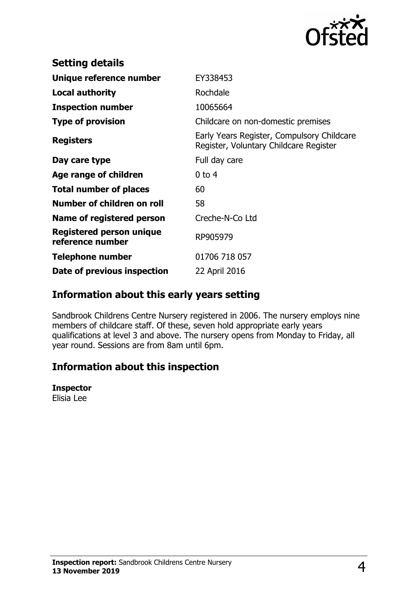

| <b>Setting details</b>                              |                                                                                      |
|-----------------------------------------------------|--------------------------------------------------------------------------------------|
| Unique reference number                             | EY338453                                                                             |
| Local authority                                     | Rochdale                                                                             |
| <b>Inspection number</b>                            | 10065664                                                                             |
| <b>Type of provision</b>                            | Childcare on non-domestic premises                                                   |
| <b>Registers</b>                                    | Early Years Register, Compulsory Childcare<br>Register, Voluntary Childcare Register |
| Day care type                                       | Full day care                                                                        |
| Age range of children                               | $0$ to 4                                                                             |
| <b>Total number of places</b>                       | 60                                                                                   |
| Number of children on roll                          | 58                                                                                   |
| Name of registered person                           | Creche-N-Co Ltd                                                                      |
| <b>Registered person unique</b><br>reference number | RP905979                                                                             |
| <b>Telephone number</b>                             | 01706 718 057                                                                        |
| Date of previous inspection                         | 22 April 2016                                                                        |

## **Information about this early years setting**

Sandbrook Childrens Centre Nursery registered in 2006. The nursery employs nine members of childcare staff. Of these, seven hold appropriate early years qualifications at level 3 and above. The nursery opens from Monday to Friday, all year round. Sessions are from 8am until 6pm.

# **Information about this inspection**

## **Inspector**

Elisia Lee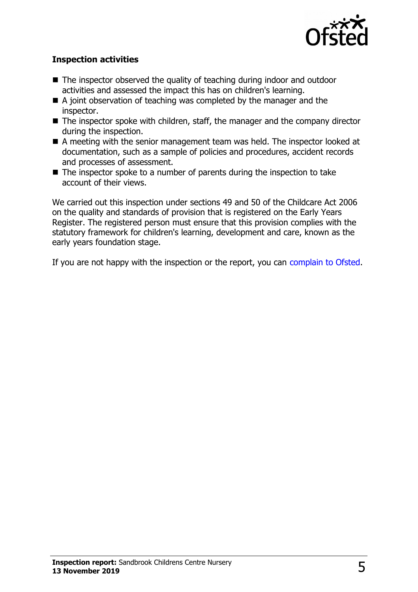

### **Inspection activities**

- $\blacksquare$  The inspector observed the quality of teaching during indoor and outdoor activities and assessed the impact this has on children's learning.
- $\blacksquare$  A joint observation of teaching was completed by the manager and the inspector.
- $\blacksquare$  The inspector spoke with children, staff, the manager and the company director during the inspection.
- $\blacksquare$  A meeting with the senior management team was held. The inspector looked at documentation, such as a sample of policies and procedures, accident records and processes of assessment.
- $\blacksquare$  The inspector spoke to a number of parents during the inspection to take account of their views.

We carried out this inspection under sections 49 and 50 of the Childcare Act 2006 on the quality and standards of provision that is registered on the Early Years Register. The registered person must ensure that this provision complies with the statutory framework for children's learning, development and care, known as the early years foundation stage.

If you are not happy with the inspection or the report, you can [complain to Ofsted.](http://www.gov.uk/complain-ofsted-report)